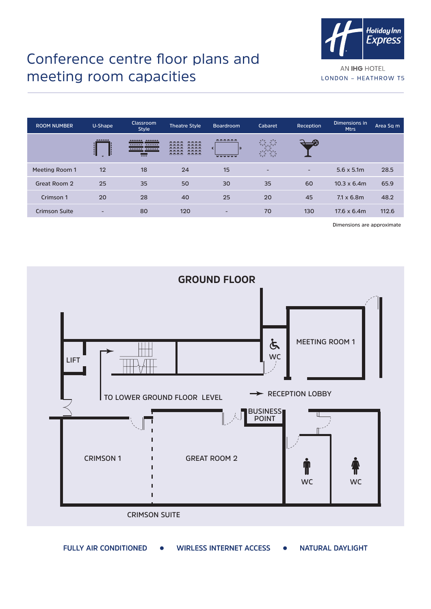

## Conference centre floor plans and meeting room capacities

AN IHG HOTEL LONDON - HEATHROW T5

| <b>ROOM NUMBER</b>   | U-Shape | <b>Classroom</b><br><b>Style</b>                       | <b>Theatre Style</b>                                                 | Boardroom                    | Cabaret                               | Reception | Dimensions in<br><b>Mtrs</b> | Area Sq m |
|----------------------|---------|--------------------------------------------------------|----------------------------------------------------------------------|------------------------------|---------------------------------------|-----------|------------------------------|-----------|
|                      | 888888  | 888888 888888<br>888888 888888<br>$\overline{\bullet}$ | 8888<br>8888<br>8888<br>8888<br>8888<br>8888<br>8888<br>8888<br>8888 | 888888<br>99999              | $\mathbb{C}$<br>$\mathbb Q$<br>$\sim$ |           |                              |           |
| Meeting Room 1       | 12      | 18                                                     | 24                                                                   | 15                           | $\overline{\phantom{0}}$              | -         | $5.6 \times 5.1m$            | 28.5      |
| Great Room 2         | 25      | 35                                                     | 50                                                                   | 30                           | 35                                    | 60        | $10.3 \times 6.4$ m          | 65.9      |
| Crimson 1            | 20      | 28                                                     | 40                                                                   | 25                           | 20                                    | 45        | $7.1 \times 6.8$ m           | 48.2      |
| <b>Crimson Suite</b> | -       | 80                                                     | 120                                                                  | $\qquad \qquad \blacksquare$ | 70                                    | 130       | $17.6 \times 6.4m$           | 112.6     |

**Dimensions are approximate**